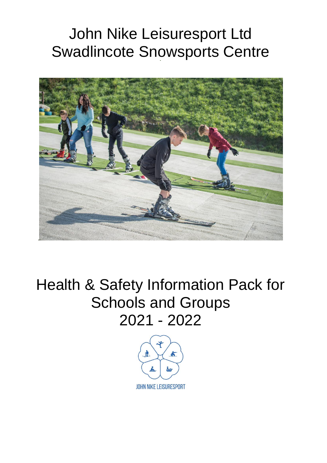# John Nike Leisuresport Ltd Swadlincote Snowsports Centre



Health & Safety Information Pack for Schools and Groups 2021 - 2022

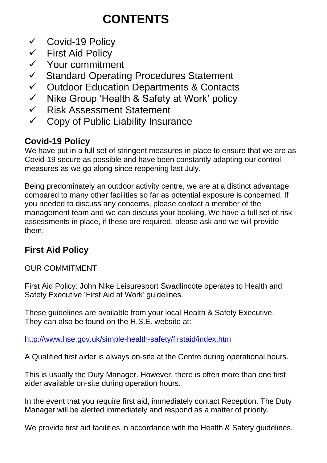# **CONTENTS**

- ✓ Covid-19 Policy
- ✓ First Aid Policy
- ✓ Your commitment
- ✓ Standard Operating Procedures Statement
- ✓ Outdoor Education Departments & Contacts
- ✓ Nike Group 'Health & Safety at Work' policy
- ✓ Risk Assessment Statement
- $\checkmark$  Copy of Public Liability Insurance

## **Covid-19 Policy**

We have put in a full set of stringent measures in place to ensure that we are as Covid-19 secure as possible and have been constantly adapting our control measures as we go along since reopening last July.

Being predominately an outdoor activity centre, we are at a distinct advantage compared to many other facilities so far as potential exposure is concerned. If you needed to discuss any concerns, please contact a member of the management team and we can discuss your booking. We have a full set of risk assessments in place, if these are required, please ask and we will provide them.

## **First Aid Policy**

OUR COMMITMENT

First Aid Policy: John Nike Leisuresport Swadlincote operates to Health and Safety Executive 'First Aid at Work' guidelines.

These guidelines are available from your local Health & Safety Executive. They can also be found on the H.S.E. website at:

<http://www.hse.gov.uk/simple-health-safety/firstaid/index.htm>

A Qualified first aider is always on-site at the Centre during operational hours.

This is usually the Duty Manager. However, there is often more than one first aider available on-site during operation hours.

In the event that you require first aid, immediately contact Reception. The Duty Manager will be alerted immediately and respond as a matter of priority.

We provide first aid facilities in accordance with the Health & Safety guidelines.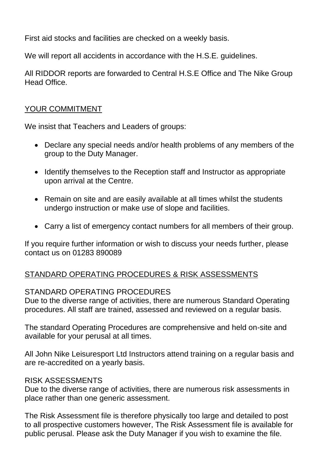First aid stocks and facilities are checked on a weekly basis.

We will report all accidents in accordance with the H.S.E. guidelines.

All RIDDOR reports are forwarded to Central H.S.E Office and The Nike Group Head Office.

### YOUR COMMITMENT

We insist that Teachers and Leaders of groups:

- Declare any special needs and/or health problems of any members of the group to the Duty Manager.
- Identify themselves to the Reception staff and Instructor as appropriate upon arrival at the Centre.
- Remain on site and are easily available at all times whilst the students undergo instruction or make use of slope and facilities.
- Carry a list of emergency contact numbers for all members of their group.

If you require further information or wish to discuss your needs further, please contact us on 01283 890089

### STANDARD OPERATING PROCEDURES & RISK ASSESSMENTS

#### STANDARD OPERATING PROCEDURES

Due to the diverse range of activities, there are numerous Standard Operating procedures. All staff are trained, assessed and reviewed on a regular basis.

The standard Operating Procedures are comprehensive and held on-site and available for your perusal at all times.

All John Nike Leisuresport Ltd Instructors attend training on a regular basis and are re-accredited on a yearly basis.

#### RISK ASSESSMENTS

Due to the diverse range of activities, there are numerous risk assessments in place rather than one generic assessment.

The Risk Assessment file is therefore physically too large and detailed to post to all prospective customers however, The Risk Assessment file is available for public perusal. Please ask the Duty Manager if you wish to examine the file.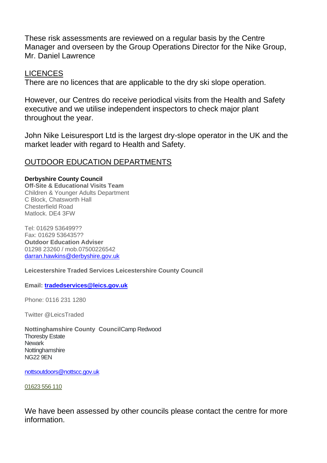These risk assessments are reviewed on a regular basis by the Centre Manager and overseen by the Group Operations Director for the Nike Group, Mr. Daniel Lawrence

#### LICENCES

There are no licences that are applicable to the dry ski slope operation.

However, our Centres do receive periodical visits from the Health and Safety executive and we utilise independent inspectors to check major plant throughout the year.

John Nike Leisuresport Ltd is the largest dry-slope operator in the UK and the market leader with regard to Health and Safety.

#### OUTDOOR EDUCATION DEPARTMENTS

**Derbyshire County Council Off-Site & Educational Visits Team** Children & Younger Adults Department C Block, Chatsworth Hall Chesterfield Road Matlock. DE4 3FW

Tel: 01629 536499?? Fax: 01629 536435?? **Outdoor Education Adviser**  01298 23260 / mob.07500226542 [darran.hawkins@derbyshire.gov.uk](mailto:darran.hawkins@derbyshire.gov.uk)

**Leicestershire Traded Services Leicestershire County Council**

**Email: [tradedservices@leics.gov.uk](mailto:tradedservices@leics.gov.uk)**

Phone: 0116 231 1280

Twitter @LeicsTraded

**Nottinghamshire County Council**Camp Redwood Thoresby Estate **Newark Nottinghamshire** NG22 9EN

[nottsoutdoors@nottscc.gov.uk](mailto:nottsoutdoors@nottscc.gov.uk)

[01623 556 110](tel:01623556110)

We have been assessed by other councils please contact the centre for more information.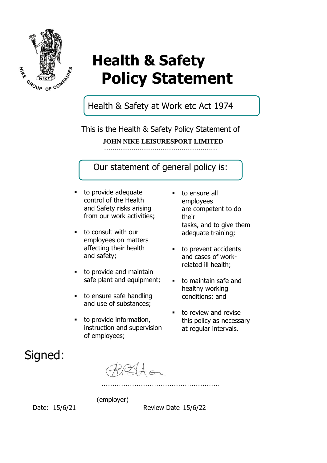

# **Health & Safety Policy Statement**

Health & Safety at Work etc Act 1974

This is the Health & Safety Policy Statement of ……………………………………………… **JOHN NIKE LEISURESPORT LIMITED**

Our statement of general policy is:

- to provide adequate control of the Health and Safety risks arising from our work activities;
- to consult with our employees on matters affecting their health and safety;
- to provide and maintain safe plant and equipment;
- to ensure safe handling and use of substances;
- to provide information, instruction and supervision of employees;

(employer)

- to ensure all employees are competent to do their tasks, and to give them adequate training;
- to prevent accidents and cases of workrelated ill health;
- to maintain safe and healthy working conditions; and
- to review and revise this policy as necessary at regular intervals.

# Signed:

Date: 15/6/21 Review Date 15/6/22

…………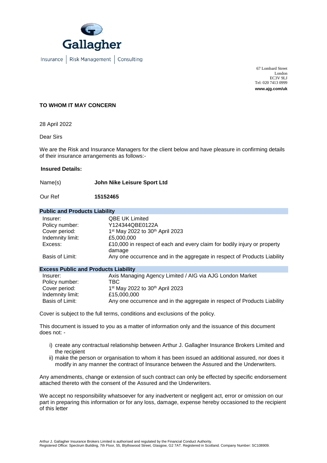

Insurance | Risk Management | Consulting

67 Lombard Street London EC3V 9LJ Tel: 020 7413 0999 **www.ajg.com/uk**

#### **TO WHOM IT MAY CONCERN**

28 April 2022

Dear Sirs

We are the Risk and Insurance Managers for the client below and have pleasure in confirming details of their insurance arrangements as follows:-

#### **Insured Details:**

Name(s) **John Nike Leisure Sport Ltd**

Our Ref **15152465**

#### **Public and Products Liability**

| Insurer:         | <b>QBE UK Limited</b>                                                              |
|------------------|------------------------------------------------------------------------------------|
| Policy number:   | Y124344QBE0122A                                                                    |
| Cover period:    | 1 <sup>st</sup> May 2022 to 30 <sup>th</sup> April 2023                            |
| Indemnity limit: | £5,000,000                                                                         |
| Excess:          | £10,000 in respect of each and every claim for bodily injury or property<br>damage |
| Basis of Limit:  | Any one occurrence and in the aggregate in respect of Products Liability           |

#### **Excess Public and Products Liability**

| Insurer:         | Axis Managing Agency Limited / AIG via AJG London Market                 |
|------------------|--------------------------------------------------------------------------|
| Policy number:   | TBC.                                                                     |
| Cover period:    | 1 <sup>st</sup> May 2022 to 30 <sup>th</sup> April 2023                  |
| Indemnity limit: | £15,000,000                                                              |
| Basis of Limit:  | Any one occurrence and in the aggregate in respect of Products Liability |

Cover is subject to the full terms, conditions and exclusions of the policy.

This document is issued to you as a matter of information only and the issuance of this document does not: -

- i) create any contractual relationship between Arthur J. Gallagher Insurance Brokers Limited and the recipient
- ii) make the person or organisation to whom it has been issued an additional assured, nor does it modify in any manner the contract of Insurance between the Assured and the Underwriters.

Any amendments, change or extension of such contract can only be effected by specific endorsement attached thereto with the consent of the Assured and the Underwriters.

We accept no responsibility whatsoever for any inadvertent or negligent act, error or omission on our part in preparing this information or for any loss, damage, expense hereby occasioned to the recipient of this letter

Arthur J. Gallagher Insurance Brokers Limited is authorised and regulated by the Financial Conduct Authority.

Registered Office: Spectrum Building, 7th Floor, 55, Blythswood Street, Glasgow, G2 7AT. Registered in Scotland. Company Number: SC108909.